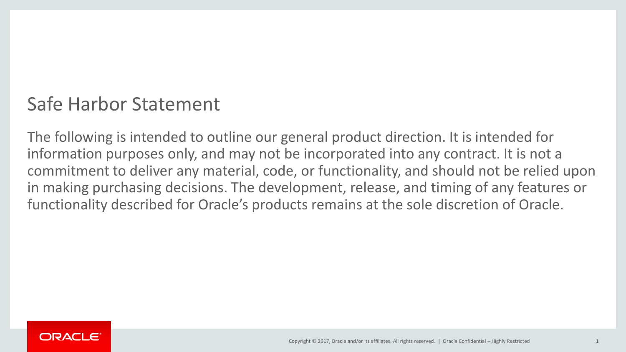## Safe Harbor Statement

The following is intended to outline our general product direction. It is intended for information purposes only, and may not be incorporated into any contract. It is not a commitment to deliver any material, code, or functionality, and should not be relied upon in making purchasing decisions. The development, release, and timing of any features or functionality described for Oracle's products remains at the sole discretion of Oracle.